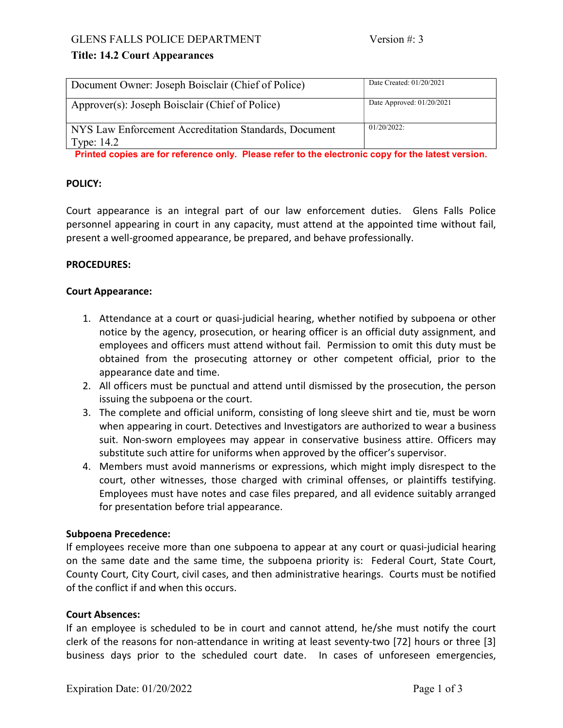# Title: 14.2 Court Appearances

| Document Owner: Joseph Boisclair (Chief of Police)                    | Date Created: 01/20/2021    |
|-----------------------------------------------------------------------|-----------------------------|
| Approver(s): Joseph Boisclair (Chief of Police)                       | Date Approved: $01/20/2021$ |
| NYS Law Enforcement Accreditation Standards, Document<br>Type: $14.2$ | $01/20/2022$ :              |

Printed copies are for reference only. Please refer to the electronic copy for the latest version.

# POLICY:

Court appearance is an integral part of our law enforcement duties. Glens Falls Police personnel appearing in court in any capacity, must attend at the appointed time without fail, present a well-groomed appearance, be prepared, and behave professionally.

## PROCEDURES:

## Court Appearance:

- 1. Attendance at a court or quasi-judicial hearing, whether notified by subpoena or other notice by the agency, prosecution, or hearing officer is an official duty assignment, and employees and officers must attend without fail. Permission to omit this duty must be obtained from the prosecuting attorney or other competent official, prior to the appearance date and time.
- 2. All officers must be punctual and attend until dismissed by the prosecution, the person issuing the subpoena or the court.
- 3. The complete and official uniform, consisting of long sleeve shirt and tie, must be worn when appearing in court. Detectives and Investigators are authorized to wear a business suit. Non-sworn employees may appear in conservative business attire. Officers may substitute such attire for uniforms when approved by the officer's supervisor.
- 4. Members must avoid mannerisms or expressions, which might imply disrespect to the court, other witnesses, those charged with criminal offenses, or plaintiffs testifying. Employees must have notes and case files prepared, and all evidence suitably arranged for presentation before trial appearance.

# Subpoena Precedence:

If employees receive more than one subpoena to appear at any court or quasi-judicial hearing on the same date and the same time, the subpoena priority is: Federal Court, State Court, County Court, City Court, civil cases, and then administrative hearings. Courts must be notified of the conflict if and when this occurs.

### Court Absences:

If an employee is scheduled to be in court and cannot attend, he/she must notify the court clerk of the reasons for non-attendance in writing at least seventy-two [72] hours or three [3] business days prior to the scheduled court date. In cases of unforeseen emergencies,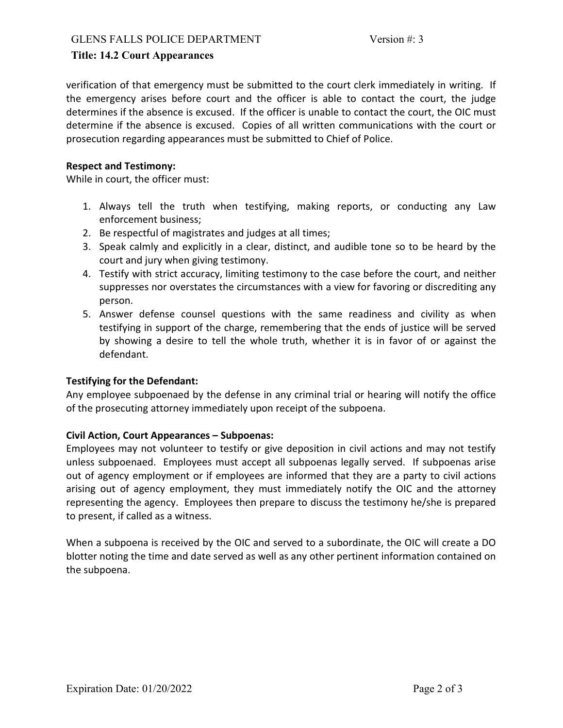## Title: 14.2 Court Appearances

verification of that emergency must be submitted to the court clerk immediately in writing. If the emergency arises before court and the officer is able to contact the court, the judge determines if the absence is excused. If the officer is unable to contact the court, the OIC must determine if the absence is excused. Copies of all written communications with the court or prosecution regarding appearances must be submitted to Chief of Police.

### Respect and Testimony:

While in court, the officer must:

- 1. Always tell the truth when testifying, making reports, or conducting any Law enforcement business;
- 2. Be respectful of magistrates and judges at all times;
- 3. Speak calmly and explicitly in a clear, distinct, and audible tone so to be heard by the court and jury when giving testimony.
- 4. Testify with strict accuracy, limiting testimony to the case before the court, and neither suppresses nor overstates the circumstances with a view for favoring or discrediting any person.
- 5. Answer defense counsel questions with the same readiness and civility as when testifying in support of the charge, remembering that the ends of justice will be served by showing a desire to tell the whole truth, whether it is in favor of or against the defendant.

### Testifying for the Defendant:

Any employee subpoenaed by the defense in any criminal trial or hearing will notify the office of the prosecuting attorney immediately upon receipt of the subpoena.

### Civil Action, Court Appearances – Subpoenas:

Employees may not volunteer to testify or give deposition in civil actions and may not testify unless subpoenaed. Employees must accept all subpoenas legally served. If subpoenas arise out of agency employment or if employees are informed that they are a party to civil actions arising out of agency employment, they must immediately notify the OIC and the attorney representing the agency. Employees then prepare to discuss the testimony he/she is prepared to present, if called as a witness.

When a subpoena is received by the OIC and served to a subordinate, the OIC will create a DO blotter noting the time and date served as well as any other pertinent information contained on the subpoena.